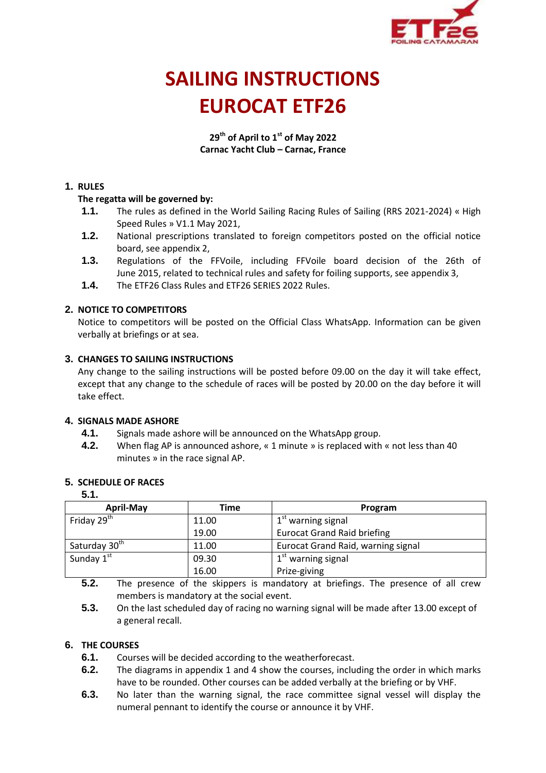

# **SAILING INSTRUCTIONS EUROCAT ETF26**

**29th of April to 1st of May 2022 Carnac Yacht Club – Carnac, France**

## **1. RULES**

## **The regatta will be governed by:**

- **1.1.** The rules as defined in the World Sailing Racing Rules of Sailing (RRS 2021-2024) « High Speed Rules » V1.1 May 2021,
- **1.2.** National prescriptions translated to foreign competitors posted on the official notice board, see appendix 2,
- **1.3.** Regulations of the FFVoile, including FFVoile board decision of the 26th of June 2015, related to technical rules and safety for foiling supports, see appendix 3,
- **1.4.** The ETF26 Class Rules and ETF26 SERIES 2022 Rules.

## **2. NOTICE TO COMPETITORS**

Notice to competitors will be posted on the Official Class WhatsApp. Information can be given verbally at briefings or at sea.

## **3. CHANGES TO SAILING INSTRUCTIONS**

Any change to the sailing instructions will be posted before 09.00 on the day it will take effect, except that any change to the schedule of races will be posted by 20.00 on the day before it will take effect.

## **4. SIGNALS MADE ASHORE**

- **4.1.** Signals made ashore will be announced on the WhatsApp group.
- **4.2.** When flag AP is announced ashore, « 1 minute » is replaced with « not less than 40 minutes » in the race signal AP.

## **5. SCHEDULE OF RACES**

#### **5.1.**

| <b>April-May</b>          | Time  | Program                                   |  |
|---------------------------|-------|-------------------------------------------|--|
| Friday 29 <sup>th</sup>   | 11.00 | $1st$ warning signal                      |  |
|                           | 19.00 | <b>Eurocat Grand Raid briefing</b>        |  |
| Saturday 30 <sup>th</sup> | 11.00 | <b>Eurocat Grand Raid, warning signal</b> |  |
| Sunday 1st                | 09.30 | $1st$ warning signal                      |  |
|                           | 16.00 | Prize-giving                              |  |

**5.2.** The presence of the skippers is mandatory at briefings. The presence of all crew members is mandatory at the social event.

**5.3.** On the last scheduled day of racing no warning signal will be made after 13.00 except of a general recall.

## **6. THE COURSES**

- **6.1.** Courses will be decided according to the weatherforecast.
- **6.2.** The diagrams in appendix 1 and 4 show the courses, including the order in which marks have to be rounded. Other courses can be added verbally at the briefing or by VHF.
- **6.3.** No later than the warning signal, the race committee signal vessel will display the numeral pennant to identify the course or announce it by VHF.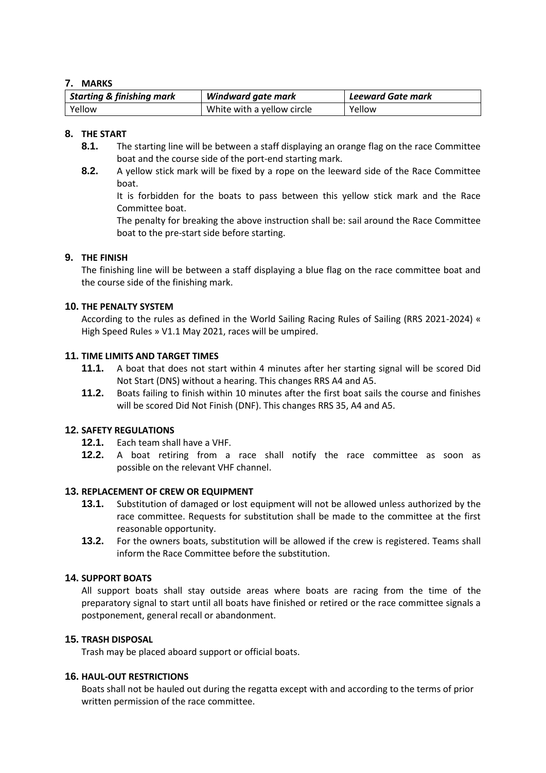## **7. MARKS**

| <b>Starting &amp; finishing mark</b> | <b>Windward gate mark</b>  | Leeward Gate mark |
|--------------------------------------|----------------------------|-------------------|
| Yellow                               | White with a yellow circle | Yellow            |

## **8. THE START**

- **8.1.** The starting line will be between a staff displaying an orange flag on the race Committee boat and the course side of the port-end starting mark.
- **8.2.** A yellow stick mark will be fixed by a rope on the leeward side of the Race Committee boat.

It is forbidden for the boats to pass between this yellow stick mark and the Race Committee boat.

The penalty for breaking the above instruction shall be: sail around the Race Committee boat to the pre-start side before starting.

## **9. THE FINISH**

The finishing line will be between a staff displaying a blue flag on the race committee boat and the course side of the finishing mark.

## **10. THE PENALTY SYSTEM**

According to the rules as defined in the World Sailing Racing Rules of Sailing (RRS 2021-2024) « High Speed Rules » V1.1 May 2021, races will be umpired.

#### **11. TIME LIMITS AND TARGET TIMES**

- **11.1.** A boat that does not start within 4 minutes after her starting signal will be scored Did Not Start (DNS) without a hearing. This changes RRS A4 and A5.
- **11.2.** Boats failing to finish within 10 minutes after the first boat sails the course and finishes will be scored Did Not Finish (DNF). This changes RRS 35, A4 and A5.

## **12. SAFETY REGULATIONS**

- **12.1.** Each team shall have a VHF.
- **12.2.** A boat retiring from a race shall notify the race committee as soon as possible on the relevant VHF channel.

## **13. REPLACEMENT OF CREW OR EQUIPMENT**

- **13.1.** Substitution of damaged or lost equipment will not be allowed unless authorized by the race committee. Requests for substitution shall be made to the committee at the first reasonable opportunity.
- **13.2.** For the owners boats, substitution will be allowed if the crew is registered. Teams shall inform the Race Committee before the substitution.

## **14. SUPPORT BOATS**

All support boats shall stay outside areas where boats are racing from the time of the preparatory signal to start until all boats have finished or retired or the race committee signals a postponement, general recall or abandonment.

#### **15. TRASH DISPOSAL**

Trash may be placed aboard support or official boats.

#### **16. HAUL-OUT RESTRICTIONS**

Boats shall not be hauled out during the regatta except with and according to the terms of prior written permission of the race committee.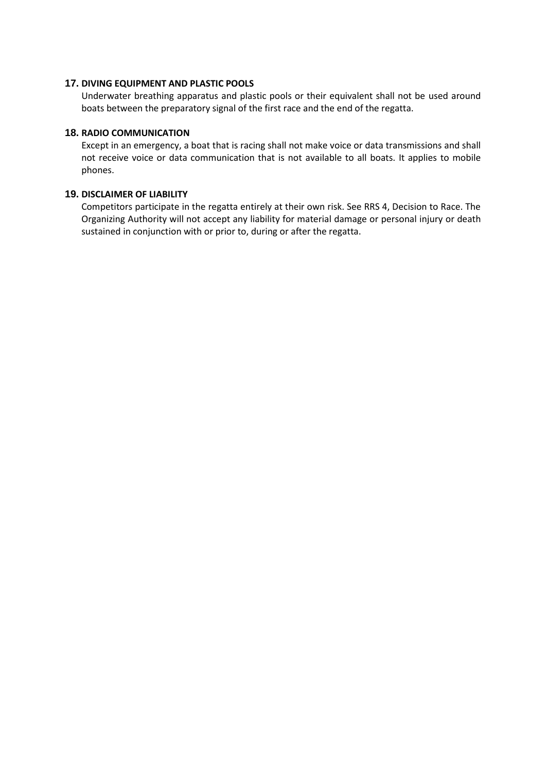#### **17. DIVING EQUIPMENT AND PLASTIC POOLS**

Underwater breathing apparatus and plastic pools or their equivalent shall not be used around boats between the preparatory signal of the first race and the end of the regatta.

## **18. RADIO COMMUNICATION**

Except in an emergency, a boat that is racing shall not make voice or data transmissions and shall not receive voice or data communication that is not available to all boats. It applies to mobile phones.

#### **19. DISCLAIMER OF LIABILITY**

Competitors participate in the regatta entirely at their own risk. See RRS 4, Decision to Race. The Organizing Authority will not accept any liability for material damage or personal injury or death sustained in conjunction with or prior to, during or after the regatta.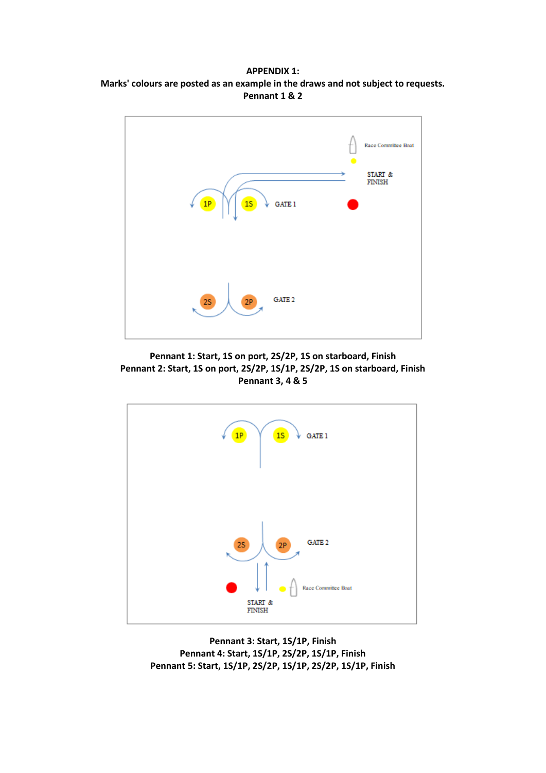**APPENDIX 1: Marks' colours are posted as an example in the draws and not subject to requests. Pennant 1 & 2**



**Pennant 1: Start, 1S on port, 2S/2P, 1S on starboard, Finish Pennant 2: Start, 1S on port, 2S/2P, 1S/1P, 2S/2P, 1S on starboard, Finish Pennant 3, 4 & 5**



**Pennant 3: Start, 1S/1P, Finish Pennant 4: Start, 1S/1P, 2S/2P, 1S/1P, Finish Pennant 5: Start, 1S/1P, 2S/2P, 1S/1P, 2S/2P, 1S/1P, Finish**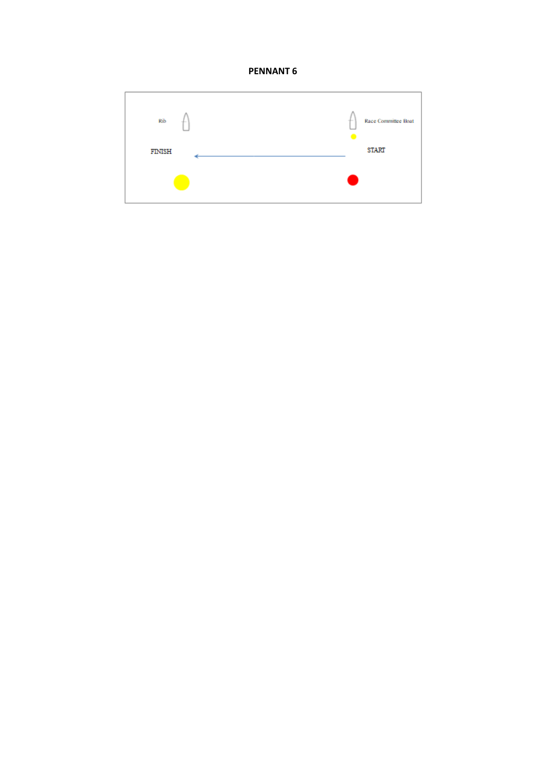

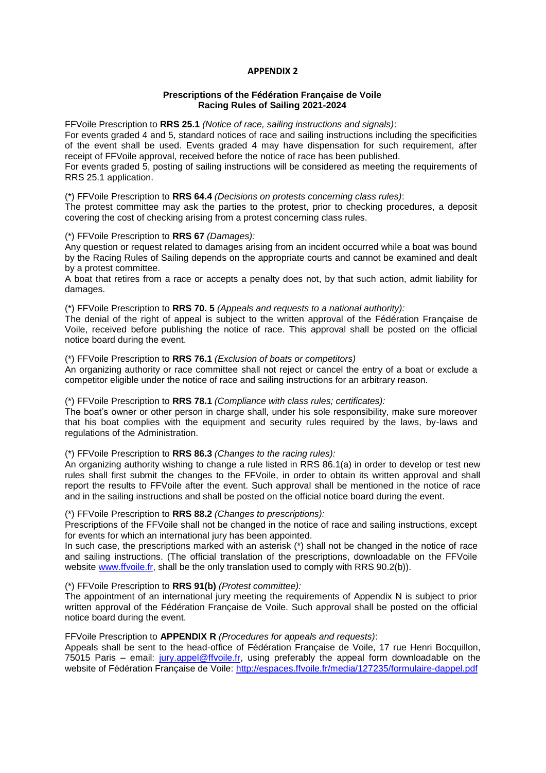#### **APPENDIX 2**

#### **Prescriptions of the Fédération Française de Voile Racing Rules of Sailing 2021-2024**

FFVoile Prescription to **RRS 25.1** *(Notice of race, sailing instructions and signals)*:

For events graded 4 and 5, standard notices of race and sailing instructions including the specificities of the event shall be used. Events graded 4 may have dispensation for such requirement, after receipt of FFVoile approval, received before the notice of race has been published. For events graded 5, posting of sailing instructions will be considered as meeting the requirements of

RRS 25.1 application.

#### (\*) FFVoile Prescription to **RRS 64.4** *(Decisions on protests concerning class rules)*:

The protest committee may ask the parties to the protest, prior to checking procedures, a deposit covering the cost of checking arising from a protest concerning class rules.

#### (\*) FFVoile Prescription to **RRS 67** *(Damages):*

Any question or request related to damages arising from an incident occurred while a boat was bound by the Racing Rules of Sailing depends on the appropriate courts and cannot be examined and dealt by a protest committee.

A boat that retires from a race or accepts a penalty does not, by that such action, admit liability for damages.

#### (\*) FFVoile Prescription to **RRS 70. 5** *(Appeals and requests to a national authority):*

The denial of the right of appeal is subject to the written approval of the Fédération Française de Voile, received before publishing the notice of race. This approval shall be posted on the official notice board during the event.

#### (\*) FFVoile Prescription to **RRS 76.1** *(Exclusion of boats or competitors)*

An organizing authority or race committee shall not reject or cancel the entry of a boat or exclude a competitor eligible under the notice of race and sailing instructions for an arbitrary reason.

#### (\*) FFVoile Prescription to **RRS 78.1** *(Compliance with class rules; certificates):*

The boat's owner or other person in charge shall, under his sole responsibility, make sure moreover that his boat complies with the equipment and security rules required by the laws, by-laws and regulations of the Administration.

#### (\*) FFVoile Prescription to **RRS 86.3** *(Changes to the racing rules):*

An organizing authority wishing to change a rule listed in RRS 86.1(a) in order to develop or test new rules shall first submit the changes to the FFVoile, in order to obtain its written approval and shall report the results to FFVoile after the event. Such approval shall be mentioned in the notice of race and in the sailing instructions and shall be posted on the official notice board during the event.

#### (\*) FFVoile Prescription to **RRS 88.2** *(Changes to prescriptions):*

Prescriptions of the FFVoile shall not be changed in the notice of race and sailing instructions, except for events for which an international jury has been appointed.

In such case, the prescriptions marked with an asterisk (\*) shall not be changed in the notice of race and sailing instructions. (The official translation of the prescriptions, downloadable on the FFVoile website [www.ffvoile.fr,](http://www.ffvoile.fr/) shall be the only translation used to comply with RRS 90.2(b)).

#### (\*) FFVoile Prescription to **RRS 91(b)** *(Protest committee):*

The appointment of an international jury meeting the requirements of Appendix N is subject to prior written approval of the Fédération Française de Voile. Such approval shall be posted on the official notice board during the event.

#### FFVoile Prescription to **APPENDIX R** *(Procedures for appeals and requests)*:

Appeals shall be sent to the head-office of Fédération Française de Voile, 17 rue Henri Bocquillon, 75015 Paris – email: [jury.appel@ffvoile.fr,](mailto:jury.appel@ffvoile.fr) using preferably the appeal form downloadable on the website of Fédération Française de Voile:<http://espaces.ffvoile.fr/media/127235/formulaire-dappel.pdf>